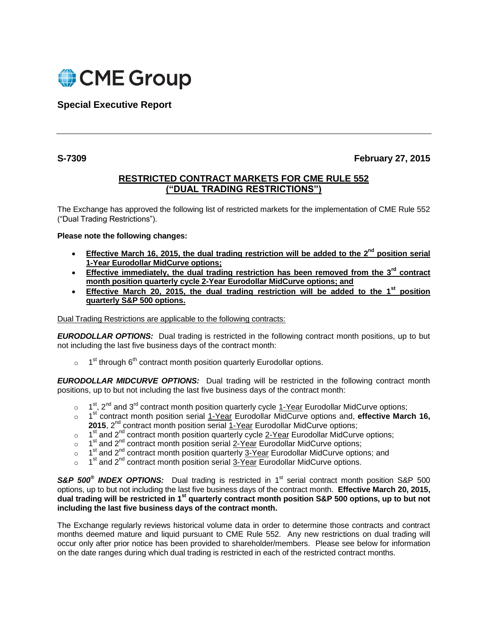

**Special Executive Report**

**S-7309 February 27, 2015**

## **RESTRICTED CONTRACT MARKETS FOR CME RULE 552 ("DUAL TRADING RESTRICTIONS")**

The Exchange has approved the following list of restricted markets for the implementation of CME Rule 552 ("Dual Trading Restrictions").

## **Please note the following changes:**

- **Effective March 16, 2015, the dual trading restriction will be added to the 2<sup>nd</sup> position serial 1-Year Eurodollar MidCurve options;**
- **Effective immediately, the dual trading restriction has been removed from the 3rd contract month position quarterly cycle 2-Year Eurodollar MidCurve options; and**
- **Effective March 20, 2015, the dual trading restriction will be added to the 1st position quarterly S&P 500 options.**

Dual Trading Restrictions are applicable to the following contracts:

*EURODOLLAR OPTIONS:*Dual trading is restricted in the following contract month positions, up to but not including the last five business days of the contract month:

 $\circ$  1<sup>st</sup> through 6<sup>th</sup> contract month position quarterly Eurodollar options.

*EURODOLLAR MIDCURVE OPTIONS:*Dual trading will be restricted in the following contract month positions, up to but not including the last five business days of the contract month:

- $\circ$  1<sup>st</sup>, 2<sup>nd</sup> and 3<sup>rd</sup> contract month position quarterly cycle 1-Year Eurodollar MidCurve options;
- o 1<sup>st</sup> contract month position serial 1-Year Eurodollar MidCurve options and, effective March 16, **2015**, 2<sup>nd</sup> contract month position serial 1-Year Eurodollar MidCurve options;
- $\circ$  1<sup>st</sup> and 2<sup>nd</sup> contract month position quarterly cycle 2-Year Eurodollar MidCurve options;
- o 1  $1<sup>st</sup>$  and  $2<sup>nd</sup>$  contract month position serial  $2$ -Year Eurodollar MidCurve options;
- $\circ$  1<sup>st</sup> and 2<sup>nd</sup> contract month position quarterly 3-Year Eurodollar MidCurve options; and
- $\circ$  1<sup>st</sup> and 2<sup>nd</sup> contract month position serial 3-Year Eurodollar MidCurve options.

**S&P 500<sup>®</sup> INDEX OPTIONS:** Dual trading is restricted in 1<sup>st</sup> serial contract month position S&P 500 options, up to but not including the last five business days of the contract month. **Effective March 20, 2015, dual trading will be restricted in 1st quarterly contract month position S&P 500 options, up to but not including the last five business days of the contract month.**

The Exchange regularly reviews historical volume data in order to determine those contracts and contract months deemed mature and liquid pursuant to CME Rule 552. Any new restrictions on dual trading will occur only after prior notice has been provided to shareholder/members. Please see below for information on the date ranges during which dual trading is restricted in each of the restricted contract months.